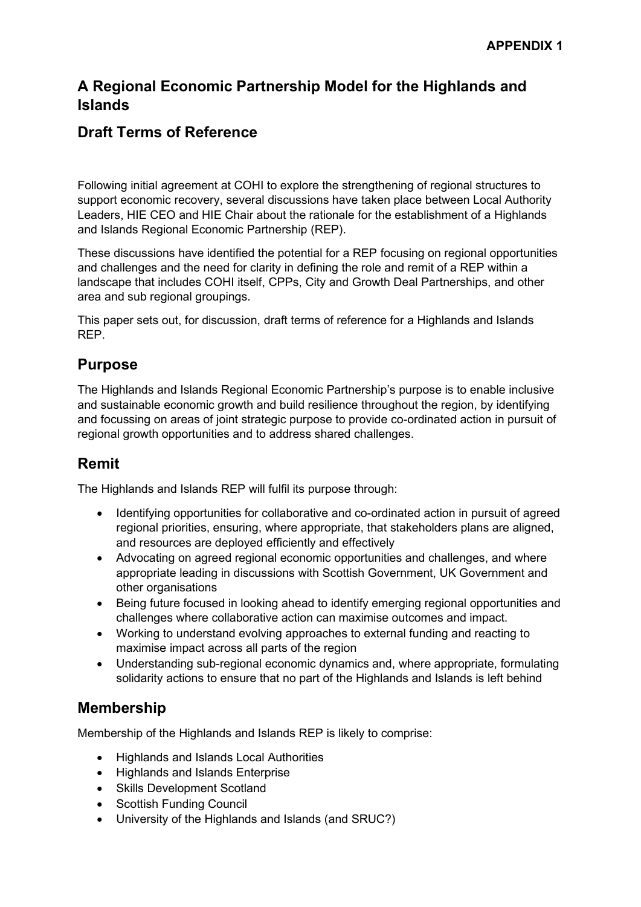#### **A Regional Economic Partnership Model for the Highlands and Islands**

#### **Draft Terms of Reference**

Following initial agreement at COHI to explore the strengthening of regional structures to support economic recovery, several discussions have taken place between Local Authority Leaders, HIE CEO and HIE Chair about the rationale for the establishment of a Highlands and Islands Regional Economic Partnership (REP).

These discussions have identified the potential for a REP focusing on regional opportunities and challenges and the need for clarity in defining the role and remit of a REP within a landscape that includes COHI itself, CPPs, City and Growth Deal Partnerships, and other area and sub regional groupings.

This paper sets out, for discussion, draft terms of reference for a Highlands and Islands REP.

#### **Purpose**

The Highlands and Islands Regional Economic Partnership's purpose is to enable inclusive and sustainable economic growth and build resilience throughout the region, by identifying and focussing on areas of joint strategic purpose to provide co-ordinated action in pursuit of regional growth opportunities and to address shared challenges.

# **Remit**

The Highlands and Islands REP will fulfil its purpose through:

- Identifying opportunities for collaborative and co-ordinated action in pursuit of agreed regional priorities, ensuring, where appropriate, that stakeholders plans are aligned, and resources are deployed efficiently and effectively
- Advocating on agreed regional economic opportunities and challenges, and where appropriate leading in discussions with Scottish Government, UK Government and other organisations
- Being future focused in looking ahead to identify emerging regional opportunities and challenges where collaborative action can maximise outcomes and impact.
- Working to understand evolving approaches to external funding and reacting to maximise impact across all parts of the region
- Understanding sub-regional economic dynamics and, where appropriate, formulating solidarity actions to ensure that no part of the Highlands and Islands is left behind

# **Membership**

Membership of the Highlands and Islands REP is likely to comprise:

- Highlands and Islands Local Authorities
- Highlands and Islands Enterprise
- Skills Development Scotland
- Scottish Funding Council
- University of the Highlands and Islands (and SRUC?)